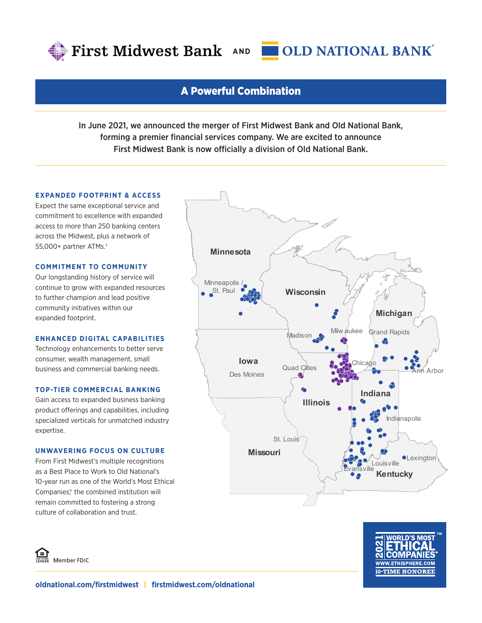



### A Powerful Combination

In June 2021, we announced the merger of First Midwest Bank and Old National Bank, forming a premier financial services company. We are excited to announce First Midwest Bank is now officially a division of Old National Bank.

#### **EXPANDED FOOTPRINT & ACCESS**

Expect the same exceptional service and commitment to excellence with expanded access to more than 250 banking centers across the Midwest, plus a network of 55,000+ partner ATMs.1

#### **COMMITMENT TO COMMUNITY**

Our longstanding history of service will continue to grow with expanded resources to further champion and lead positive community initiatives within our expanded footprint.

#### **ENHANCED DIGITAL CAPABILITIES**

Technology enhancements to better serve consumer, wealth management, small business and commercial banking needs.

#### **TOP-TIER COMMERCIAL BANKING**

Gain access to expanded business banking product offerings and capabilities, including specialized verticals for unmatched industry expertise.

#### **UNWAVERING FOCUS ON CULTURE**

From First Midwest's multiple recognitions as a Best Place to Work to Old National's 10-year run as one of the World's Most Ethical Companies,<sup>®</sup> the combined institution will remain committed to fostering a strong culture of collaboration and trust.





။<br>- Member FDIC